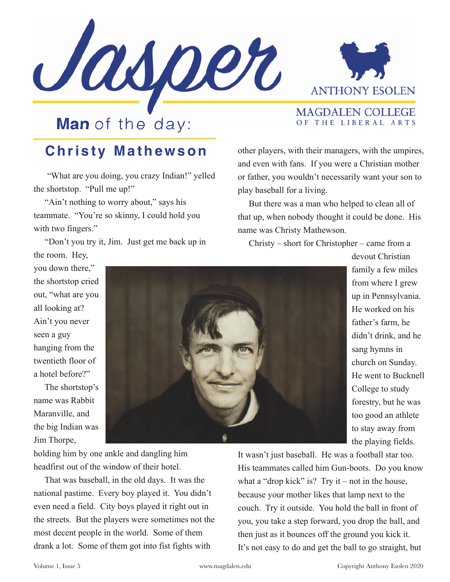



**MAGDALEN COLLEGE** OF THE LIBERAL ARTS

## **Man** of the day:

## **Christy Mathewson**

 "What are you doing, you crazy Indian!" yelled the shortstop. "Pull me up!"

"Ain't nothing to worry about," says his teammate. "You're so skinny, I could hold you with two fingers."

 "Don't you try it, Jim. Just get me back up in the room. Hey,

other players, with their managers, with the umpires, and even with fans. If you were a Christian mother or father, you wouldn't necessarily want your son to play baseball for a living.

 But there was a man who helped to clean all of that up, when nobody thought it could be done. His name was Christy Mathewson.

Christy – short for Christopher – came from a

you down there," the shortstop cried out, "what are you all looking at? Ain't you never seen a guy hanging from the twentieth floor of a hotel before?"

 The shortstop's name was Rabbit Maranville, and the big Indian was Jim Thorpe,



devout Christian family a few miles from where I grew up in Pennsylvania. He worked on his father's farm, he didn't drink, and he sang hymns in church on Sunday. He went to Bucknell College to study forestry, but he was too good an athlete to stay away from the playing fields.

holding him by one ankle and dangling him headfirst out of the window of their hotel.

 That was baseball, in the old days. It was the national pastime. Every boy played it. You didn't even need a field. City boys played it right out in the streets. But the players were sometimes not the most decent people in the world. Some of them drank a lot. Some of them got into fist fights with

It wasn't just baseball. He was a football star too. His teammates called him Gun-boots. Do you know what a "drop kick" is? Try it – not in the house, because your mother likes that lamp next to the couch. Try it outside. You hold the ball in front of you, you take a step forward, you drop the ball, and then just as it bounces off the ground you kick it. It's not easy to do and get the ball to go straight, but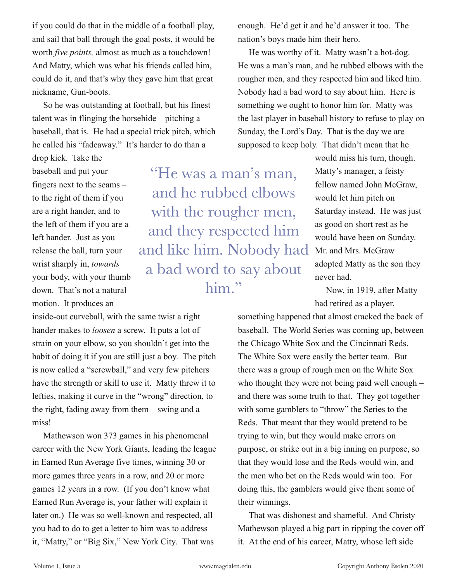if you could do that in the middle of a football play, and sail that ball through the goal posts, it would be worth *five points,* almost as much as a touchdown! And Matty, which was what his friends called him, could do it, and that's why they gave him that great nickname, Gun-boots.

 So he was outstanding at football, but his finest talent was in flinging the horsehide – pitching a baseball, that is. He had a special trick pitch, which he called his "fadeaway." It's harder to do than a

drop kick. Take the baseball and put your fingers next to the seams – to the right of them if you are a right hander, and to the left of them if you are a left hander. Just as you release the ball, turn your wrist sharply in, *towards* your body, with your thumb down. That's not a natural motion. It produces an

inside-out curveball, with the same twist a right hander makes to *loosen* a screw. It puts a lot of strain on your elbow, so you shouldn't get into the habit of doing it if you are still just a boy. The pitch is now called a "screwball," and very few pitchers have the strength or skill to use it. Matty threw it to lefties, making it curve in the "wrong" direction, to the right, fading away from them – swing and a miss!

 Mathewson won 373 games in his phenomenal career with the New York Giants, leading the league in Earned Run Average five times, winning 30 or more games three years in a row, and 20 or more games 12 years in a row. (If you don't know what Earned Run Average is, your father will explain it later on.) He was so well-known and respected, all you had to do to get a letter to him was to address it, "Matty," or "Big Six," New York City. That was

enough. He'd get it and he'd answer it too. The nation's boys made him their hero.

 He was worthy of it. Matty wasn't a hot-dog. He was a man's man, and he rubbed elbows with the rougher men, and they respected him and liked him. Nobody had a bad word to say about him. Here is something we ought to honor him for. Matty was the last player in baseball history to refuse to play on Sunday, the Lord's Day. That is the day we are supposed to keep holy. That didn't mean that he

"He was a man's man, and he rubbed elbows with the rougher men, and they respected him and like him. Nobody had a bad word to say about him."

would miss his turn, though. Matty's manager, a feisty fellow named John McGraw, would let him pitch on Saturday instead. He was just as good on short rest as he would have been on Sunday. Mr. and Mrs. McGraw adopted Matty as the son they never had.

 Now, in 1919, after Matty had retired as a player,

something happened that almost cracked the back of baseball. The World Series was coming up, between the Chicago White Sox and the Cincinnati Reds. The White Sox were easily the better team. But there was a group of rough men on the White Sox who thought they were not being paid well enough – and there was some truth to that. They got together with some gamblers to "throw" the Series to the Reds. That meant that they would pretend to be trying to win, but they would make errors on purpose, or strike out in a big inning on purpose, so that they would lose and the Reds would win, and the men who bet on the Reds would win too. For doing this, the gamblers would give them some of their winnings.

 That was dishonest and shameful. And Christy Mathewson played a big part in ripping the cover off it. At the end of his career, Matty, whose left side